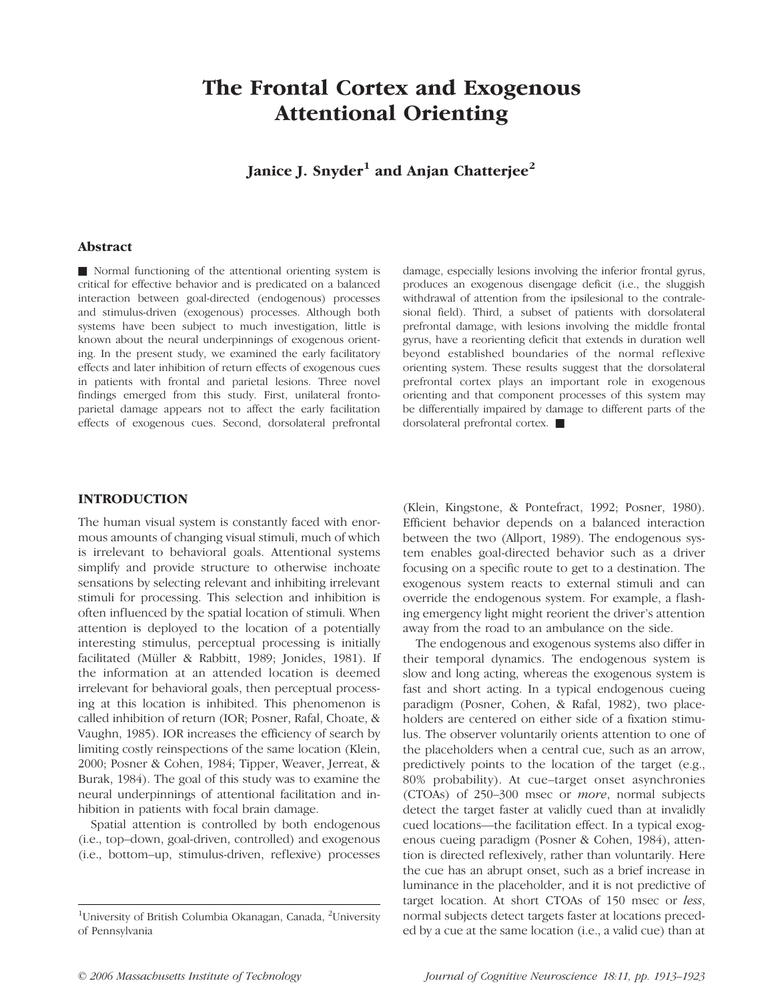# The Frontal Cortex and Exogenous Attentional Orienting

Janice J. Snyder<sup>1</sup> and Anjan Chatterjee<sup>2</sup>

#### Abstract

& Normal functioning of the attentional orienting system is critical for effective behavior and is predicated on a balanced interaction between goal-directed (endogenous) processes and stimulus-driven (exogenous) processes. Although both systems have been subject to much investigation, little is known about the neural underpinnings of exogenous orienting. In the present study, we examined the early facilitatory effects and later inhibition of return effects of exogenous cues in patients with frontal and parietal lesions. Three novel findings emerged from this study. First, unilateral frontoparietal damage appears not to affect the early facilitation effects of exogenous cues. Second, dorsolateral prefrontal damage, especially lesions involving the inferior frontal gyrus, produces an exogenous disengage deficit (i.e., the sluggish withdrawal of attention from the ipsilesional to the contralesional field). Third, a subset of patients with dorsolateral prefrontal damage, with lesions involving the middle frontal gyrus, have a reorienting deficit that extends in duration well beyond established boundaries of the normal reflexive orienting system. These results suggest that the dorsolateral prefrontal cortex plays an important role in exogenous orienting and that component processes of this system may be differentially impaired by damage to different parts of the dorsolateral prefrontal cortex.

## INTRODUCTION

The human visual system is constantly faced with enormous amounts of changing visual stimuli, much of which is irrelevant to behavioral goals. Attentional systems simplify and provide structure to otherwise inchoate sensations by selecting relevant and inhibiting irrelevant stimuli for processing. This selection and inhibition is often influenced by the spatial location of stimuli. When attention is deployed to the location of a potentially interesting stimulus, perceptual processing is initially facilitated (Müller & Rabbitt, 1989; Jonides, 1981). If the information at an attended location is deemed irrelevant for behavioral goals, then perceptual processing at this location is inhibited. This phenomenon is called inhibition of return (IOR; Posner, Rafal, Choate, & Vaughn, 1985). IOR increases the efficiency of search by limiting costly reinspections of the same location (Klein, 2000; Posner & Cohen, 1984; Tipper, Weaver, Jerreat, & Burak, 1984). The goal of this study was to examine the neural underpinnings of attentional facilitation and inhibition in patients with focal brain damage.

Spatial attention is controlled by both endogenous (i.e., top–down, goal-driven, controlled) and exogenous (i.e., bottom–up, stimulus-driven, reflexive) processes

(Klein, Kingstone, & Pontefract, 1992; Posner, 1980). Efficient behavior depends on a balanced interaction between the two (Allport, 1989). The endogenous system enables goal-directed behavior such as a driver focusing on a specific route to get to a destination. The exogenous system reacts to external stimuli and can override the endogenous system. For example, a flashing emergency light might reorient the driver's attention away from the road to an ambulance on the side.

The endogenous and exogenous systems also differ in their temporal dynamics. The endogenous system is slow and long acting, whereas the exogenous system is fast and short acting. In a typical endogenous cueing paradigm (Posner, Cohen, & Rafal, 1982), two placeholders are centered on either side of a fixation stimulus. The observer voluntarily orients attention to one of the placeholders when a central cue, such as an arrow, predictively points to the location of the target (e.g., 80% probability). At cue–target onset asynchronies (CTOAs) of 250–300 msec or more, normal subjects detect the target faster at validly cued than at invalidly cued locations—the facilitation effect. In a typical exogenous cueing paradigm (Posner & Cohen, 1984), attention is directed reflexively, rather than voluntarily. Here the cue has an abrupt onset, such as a brief increase in luminance in the placeholder, and it is not predictive of target location. At short CTOAs of 150 msec or less, normal subjects detect targets faster at locations preceded by a cue at the same location (i.e., a valid cue) than at

<sup>&</sup>lt;sup>1</sup>University of British Columbia Okanagan, Canada, <sup>2</sup>University of Pennsylvania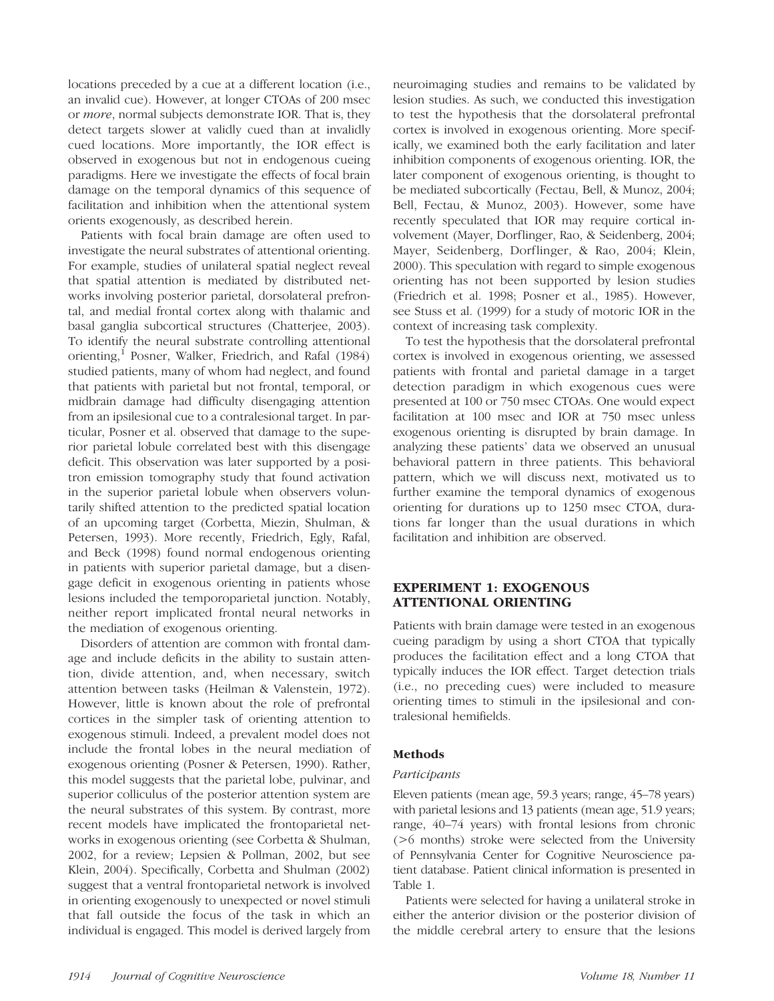locations preceded by a cue at a different location (i.e., an invalid cue). However, at longer CTOAs of 200 msec or more, normal subjects demonstrate IOR. That is, they detect targets slower at validly cued than at invalidly cued locations. More importantly, the IOR effect is observed in exogenous but not in endogenous cueing paradigms. Here we investigate the effects of focal brain damage on the temporal dynamics of this sequence of facilitation and inhibition when the attentional system orients exogenously, as described herein.

Patients with focal brain damage are often used to investigate the neural substrates of attentional orienting. For example, studies of unilateral spatial neglect reveal that spatial attention is mediated by distributed networks involving posterior parietal, dorsolateral prefrontal, and medial frontal cortex along with thalamic and basal ganglia subcortical structures (Chatterjee, 2003). To identify the neural substrate controlling attentional orienting,<sup>1</sup> Posner, Walker, Friedrich, and Rafal (1984) studied patients, many of whom had neglect, and found that patients with parietal but not frontal, temporal, or midbrain damage had difficulty disengaging attention from an ipsilesional cue to a contralesional target. In particular, Posner et al. observed that damage to the superior parietal lobule correlated best with this disengage deficit. This observation was later supported by a positron emission tomography study that found activation in the superior parietal lobule when observers voluntarily shifted attention to the predicted spatial location of an upcoming target (Corbetta, Miezin, Shulman, & Petersen, 1993). More recently, Friedrich, Egly, Rafal, and Beck (1998) found normal endogenous orienting in patients with superior parietal damage, but a disengage deficit in exogenous orienting in patients whose lesions included the temporoparietal junction. Notably, neither report implicated frontal neural networks in the mediation of exogenous orienting.

Disorders of attention are common with frontal damage and include deficits in the ability to sustain attention, divide attention, and, when necessary, switch attention between tasks (Heilman & Valenstein, 1972). However, little is known about the role of prefrontal cortices in the simpler task of orienting attention to exogenous stimuli. Indeed, a prevalent model does not include the frontal lobes in the neural mediation of exogenous orienting (Posner & Petersen, 1990). Rather, this model suggests that the parietal lobe, pulvinar, and superior colliculus of the posterior attention system are the neural substrates of this system. By contrast, more recent models have implicated the frontoparietal networks in exogenous orienting (see Corbetta & Shulman, 2002, for a review; Lepsien & Pollman, 2002, but see Klein, 2004). Specifically, Corbetta and Shulman (2002) suggest that a ventral frontoparietal network is involved in orienting exogenously to unexpected or novel stimuli that fall outside the focus of the task in which an individual is engaged. This model is derived largely from neuroimaging studies and remains to be validated by lesion studies. As such, we conducted this investigation to test the hypothesis that the dorsolateral prefrontal cortex is involved in exogenous orienting. More specifically, we examined both the early facilitation and later inhibition components of exogenous orienting. IOR, the later component of exogenous orienting, is thought to be mediated subcortically (Fectau, Bell, & Munoz, 2004; Bell, Fectau, & Munoz, 2003). However, some have recently speculated that IOR may require cortical involvement (Mayer, Dorflinger, Rao, & Seidenberg, 2004; Mayer, Seidenberg, Dorflinger, & Rao, 2004; Klein, 2000). This speculation with regard to simple exogenous orienting has not been supported by lesion studies (Friedrich et al. 1998; Posner et al., 1985). However, see Stuss et al. (1999) for a study of motoric IOR in the context of increasing task complexity.

To test the hypothesis that the dorsolateral prefrontal cortex is involved in exogenous orienting, we assessed patients with frontal and parietal damage in a target detection paradigm in which exogenous cues were presented at 100 or 750 msec CTOAs. One would expect facilitation at 100 msec and IOR at 750 msec unless exogenous orienting is disrupted by brain damage. In analyzing these patients' data we observed an unusual behavioral pattern in three patients. This behavioral pattern, which we will discuss next, motivated us to further examine the temporal dynamics of exogenous orienting for durations up to 1250 msec CTOA, durations far longer than the usual durations in which facilitation and inhibition are observed.

# EXPERIMENT 1: EXOGENOUS ATTENTIONAL ORIENTING

Patients with brain damage were tested in an exogenous cueing paradigm by using a short CTOA that typically produces the facilitation effect and a long CTOA that typically induces the IOR effect. Target detection trials (i.e., no preceding cues) were included to measure orienting times to stimuli in the ipsilesional and contralesional hemifields.

# Methods

#### Participants

Eleven patients (mean age, 59.3 years; range, 45–78 years) with parietal lesions and 13 patients (mean age, 51.9 years; range, 40–74 years) with frontal lesions from chronic (>6 months) stroke were selected from the University of Pennsylvania Center for Cognitive Neuroscience patient database. Patient clinical information is presented in Table 1.

Patients were selected for having a unilateral stroke in either the anterior division or the posterior division of the middle cerebral artery to ensure that the lesions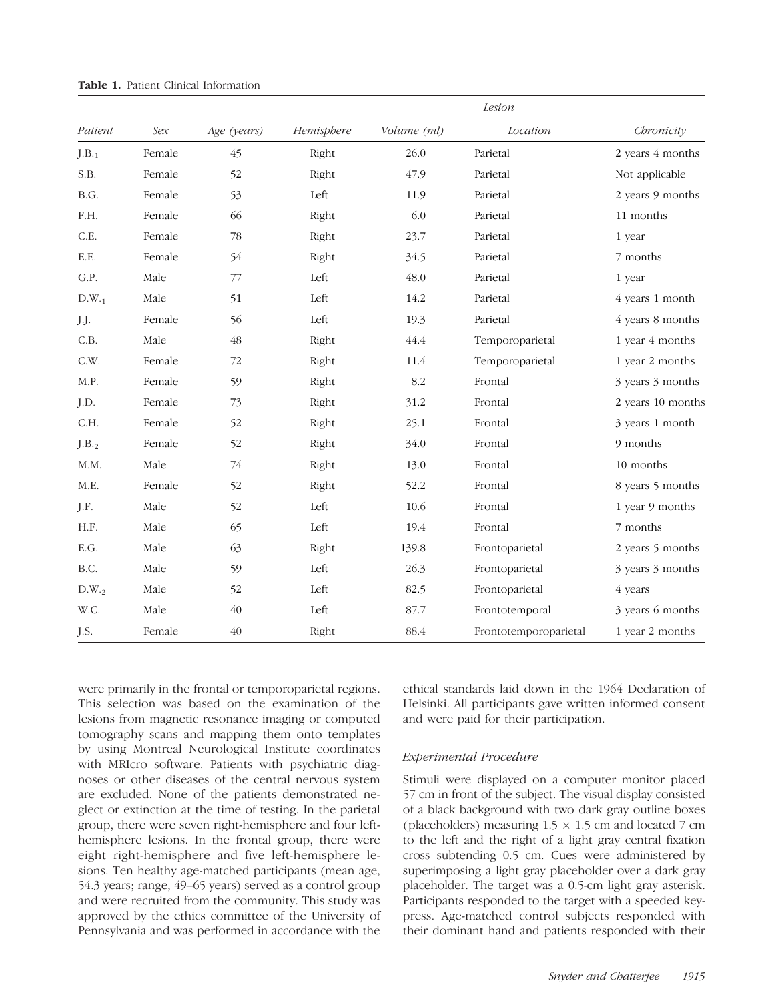|          |        |             | Lesion     |             |                       |                   |  |
|----------|--------|-------------|------------|-------------|-----------------------|-------------------|--|
| Patient  | Sex    | Age (years) | Hemisphere | Volume (ml) | Location              | Chronicity        |  |
| $J.B._1$ | Female | 45          | Right      | 26.0        | Parietal              | 2 years 4 months  |  |
| S.B.     | Female | 52          | Right      | 47.9        | Parietal              | Not applicable    |  |
| B.G.     | Female | 53          | Left       | 11.9        | Parietal              | 2 years 9 months  |  |
| F.H.     | Female | 66          | Right      | 6.0         | Parietal              | 11 months         |  |
| C.E.     | Female | 78          | Right      | 23.7        | Parietal              | 1 year            |  |
| E.E.     | Female | 54          | Right      | 34.5        | Parietal              | 7 months          |  |
| G.P.     | Male   | 77          | Left       | 48.0        | Parietal              | 1 year            |  |
| $D.W._1$ | Male   | 51          | Left       | 14.2        | Parietal              | 4 years 1 month   |  |
| J.J.     | Female | 56          | Left       | 19.3        | Parietal              | 4 years 8 months  |  |
| C.B.     | Male   | 48          | Right      | 44.4        | Temporoparietal       | 1 year 4 months   |  |
| C.W.     | Female | 72          | Right      | 11.4        | Temporoparietal       | 1 year 2 months   |  |
| M.P.     | Female | 59          | Right      | 8.2         | Frontal               | 3 years 3 months  |  |
| J.D.     | Female | 73          | Right      | 31.2        | Frontal               | 2 years 10 months |  |
| C.H.     | Female | 52          | Right      | 25.1        | Frontal               | 3 years 1 month   |  |
| $J.B._2$ | Female | 52          | Right      | 34.0        | Frontal               | 9 months          |  |
| M.M.     | Male   | 74          | Right      | 13.0        | Frontal               | 10 months         |  |
| M.E.     | Female | 52          | Right      | 52.2        | Frontal               | 8 years 5 months  |  |
| J.F.     | Male   | 52          | Left       | 10.6        | Frontal               | 1 year 9 months   |  |
| H.F.     | Male   | 65          | Left       | 19.4        | Frontal               | 7 months          |  |
| E.G.     | Male   | 63          | Right      | 139.8       | Frontoparietal        | 2 years 5 months  |  |
| B.C.     | Male   | 59          | Left       | 26.3        | Frontoparietal        | 3 years 3 months  |  |
| $D.W._2$ | Male   | 52          | Left       | 82.5        | Frontoparietal        | 4 years           |  |
| W.C.     | Male   | 40          | Left       | 87.7        | Frontotemporal        | 3 years 6 months  |  |
| J.S.     | Female | 40          | Right      | 88.4        | Frontotemporoparietal | 1 year 2 months   |  |

Table 1. Patient Clinical Information

were primarily in the frontal or temporoparietal regions. This selection was based on the examination of the lesions from magnetic resonance imaging or computed tomography scans and mapping them onto templates by using Montreal Neurological Institute coordinates with MRIcro software. Patients with psychiatric diagnoses or other diseases of the central nervous system are excluded. None of the patients demonstrated neglect or extinction at the time of testing. In the parietal group, there were seven right-hemisphere and four lefthemisphere lesions. In the frontal group, there were eight right-hemisphere and five left-hemisphere lesions. Ten healthy age-matched participants (mean age, 54.3 years; range, 49–65 years) served as a control group and were recruited from the community. This study was approved by the ethics committee of the University of Pennsylvania and was performed in accordance with the ethical standards laid down in the 1964 Declaration of Helsinki. All participants gave written informed consent and were paid for their participation.

#### Experimental Procedure

Stimuli were displayed on a computer monitor placed 57 cm in front of the subject. The visual display consisted of a black background with two dark gray outline boxes (placeholders) measuring  $1.5 \times 1.5$  cm and located 7 cm to the left and the right of a light gray central fixation cross subtending 0.5 cm. Cues were administered by superimposing a light gray placeholder over a dark gray placeholder. The target was a 0.5-cm light gray asterisk. Participants responded to the target with a speeded keypress. Age-matched control subjects responded with their dominant hand and patients responded with their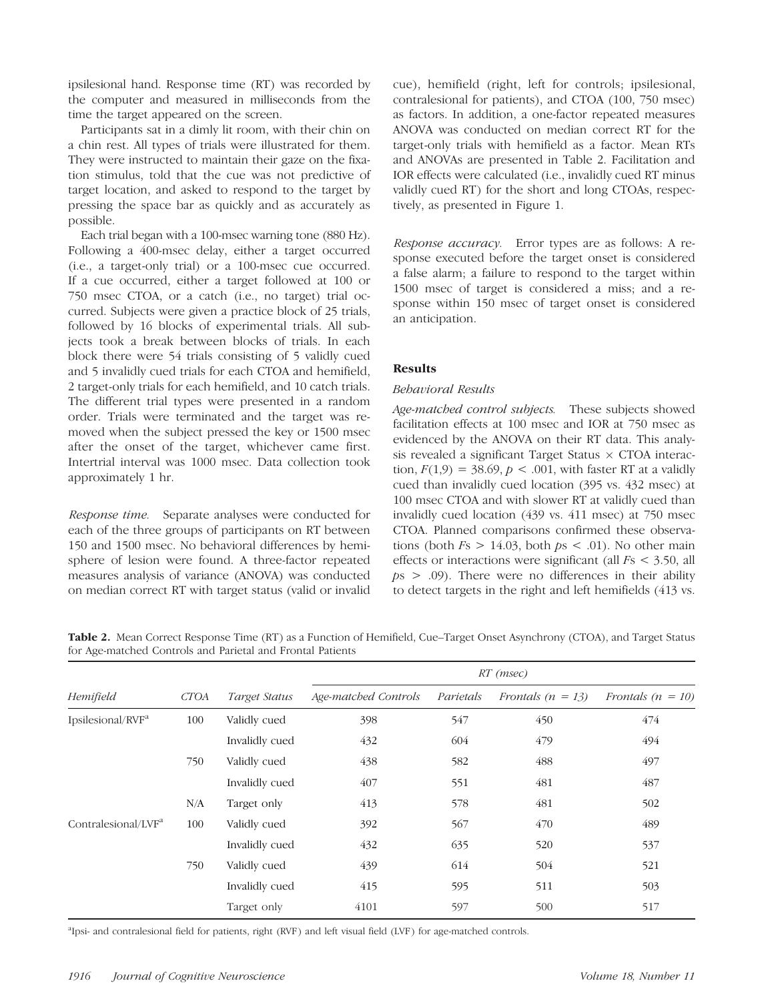ipsilesional hand. Response time (RT) was recorded by the computer and measured in milliseconds from the time the target appeared on the screen.

Participants sat in a dimly lit room, with their chin on a chin rest. All types of trials were illustrated for them. They were instructed to maintain their gaze on the fixation stimulus, told that the cue was not predictive of target location, and asked to respond to the target by pressing the space bar as quickly and as accurately as possible.

Each trial began with a 100-msec warning tone (880 Hz). Following a 400-msec delay, either a target occurred (i.e., a target-only trial) or a 100-msec cue occurred. If a cue occurred, either a target followed at 100 or 750 msec CTOA, or a catch (i.e., no target) trial occurred. Subjects were given a practice block of 25 trials, followed by 16 blocks of experimental trials. All subjects took a break between blocks of trials. In each block there were 54 trials consisting of 5 validly cued and 5 invalidly cued trials for each CTOA and hemifield, 2 target-only trials for each hemifield, and 10 catch trials. The different trial types were presented in a random order. Trials were terminated and the target was removed when the subject pressed the key or 1500 msec after the onset of the target, whichever came first. Intertrial interval was 1000 msec. Data collection took approximately 1 hr.

Response time. Separate analyses were conducted for each of the three groups of participants on RT between 150 and 1500 msec. No behavioral differences by hemisphere of lesion were found. A three-factor repeated measures analysis of variance (ANOVA) was conducted on median correct RT with target status (valid or invalid cue), hemifield (right, left for controls; ipsilesional, contralesional for patients), and CTOA (100, 750 msec) as factors. In addition, a one-factor repeated measures ANOVA was conducted on median correct RT for the target-only trials with hemifield as a factor. Mean RTs and ANOVAs are presented in Table 2. Facilitation and IOR effects were calculated (i.e., invalidly cued RT minus validly cued RT) for the short and long CTOAs, respectively, as presented in Figure 1.

Response accuracy. Error types are as follows: A response executed before the target onset is considered a false alarm; a failure to respond to the target within 1500 msec of target is considered a miss; and a response within 150 msec of target onset is considered an anticipation.

# Results

#### Behavioral Results

Age-matched control subjects. These subjects showed facilitation effects at 100 msec and IOR at 750 msec as evidenced by the ANOVA on their RT data. This analysis revealed a significant Target Status  $\times$  CTOA interaction,  $F(1,9) = 38.69$ ,  $p < .001$ , with faster RT at a validly cued than invalidly cued location (395 vs. 432 msec) at 100 msec CTOA and with slower RT at validly cued than invalidly cued location (439 vs. 411 msec) at 750 msec CTOA. Planned comparisons confirmed these observations (both  $Fs > 14.03$ , both  $ps < .01$ ). No other main effects or interactions were significant (all  $Fs < 3.50$ , all  $ps > .09$ ). There were no differences in their ability to detect targets in the right and left hemifields (413 vs.

Table 2. Mean Correct Response Time (RT) as a Function of Hemifield, Cue–Target Onset Asynchrony (CTOA), and Target Status for Age-matched Controls and Parietal and Frontal Patients

|                                 |             |                | $RT$ (msec)          |           |                     |                     |  |  |  |
|---------------------------------|-------------|----------------|----------------------|-----------|---------------------|---------------------|--|--|--|
| Hemifield                       | <b>CTOA</b> | Target Status  | Age-matched Controls | Parietals | Frontals $(n = 13)$ | Frontals $(n = 10)$ |  |  |  |
| Ipsilesional/RVF <sup>a</sup>   | 100         | Validly cued   | 398                  | 547       | 450                 | 474                 |  |  |  |
|                                 |             | Invalidly cued | 432                  | 604       | 479                 | 494                 |  |  |  |
|                                 | 750         | Validly cued   | 438                  | 582       | 488                 | 497                 |  |  |  |
|                                 |             | Invalidly cued | 407                  | 551       | 481                 | 487                 |  |  |  |
|                                 | N/A         | Target only    | 413                  | 578       | 481                 | 502                 |  |  |  |
| Contralesional/LVF <sup>a</sup> | 100         | Validly cued   | 392                  | 567       | 470                 | 489                 |  |  |  |
|                                 |             | Invalidly cued | 432                  | 635       | 520                 | 537                 |  |  |  |
|                                 | 750         | Validly cued   | 439                  | 614       | 504                 | 521                 |  |  |  |
|                                 |             | Invalidly cued | 415                  | 595       | 511                 | 503                 |  |  |  |
|                                 |             | Target only    | 4101                 | 597       | 500                 | 517                 |  |  |  |

a Ipsi- and contralesional field for patients, right (RVF) and left visual field (LVF) for age-matched controls.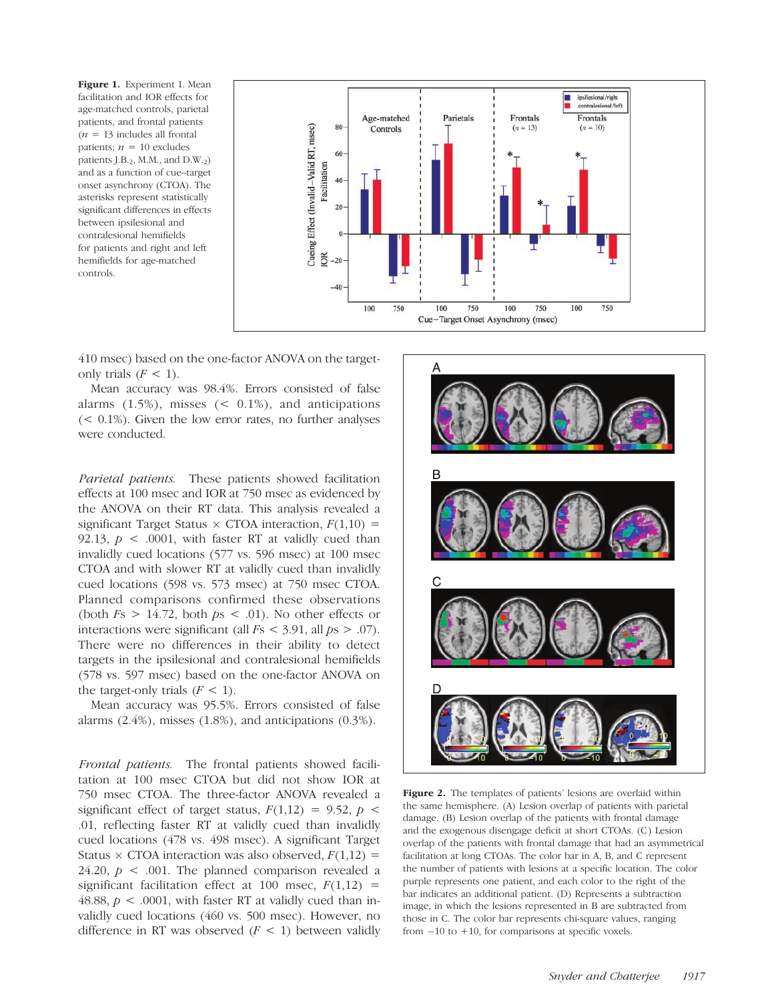Figure 1. Experiment 1. Mean facilitation and IOR effects for age-matched controls, parietal patients, and frontal patients  $(n = 13$  includes all frontal patients;  $n = 10$  excludes patients J.B.2, M.M., and D.W.2) and as a function of cue–target onset asynchrony (CTOA). The asterisks represent statistically significant differences in effects between ipsilesional and contralesional hemifields for patients and right and left hemifields for age-matched controls.



410 msec) based on the one-factor ANOVA on the targetonly trials  $(F < 1)$ .

Mean accuracy was 98.4%. Errors consisted of false alarms  $(1.5\%)$ , misses  $( $0.1\%)$ , and anticipations$  $(< 0.1\%)$ . Given the low error rates, no further analyses were conducted.

Parietal patients. These patients showed facilitation effects at 100 msec and IOR at 750 msec as evidenced by the ANOVA on their RT data. This analysis revealed a significant Target Status  $\times$  CTOA interaction,  $F(1,10) =$ 92.13,  $p \le 0.0001$ , with faster RT at validly cued than invalidly cued locations (577 vs. 596 msec) at 100 msec CTOA and with slower RT at validly cued than invalidly cued locations (598 vs. 573 msec) at 750 msec CTOA. Planned comparisons confirmed these observations (both  $Fs > 14.72$ , both  $ps < .01$ ). No other effects or interactions were significant (all  $Fs < 3.91$ , all  $ps > .07$ ). There were no differences in their ability to detect targets in the ipsilesional and contralesional hemifields (578 vs. 597 msec) based on the one-factor ANOVA on the target-only trials  $(F < 1)$ .

Mean accuracy was 95.5%. Errors consisted of false alarms  $(2.4\%)$ , misses  $(1.8\%)$ , and anticipations  $(0.3\%)$ .

Frontal patients. The frontal patients showed facilitation at 100 msec CTOA but did not show IOR at 750 msec CTOA. The three-factor ANOVA revealed a significant effect of target status,  $F(1,12) = 9.52$ ,  $p <$ .01, reflecting faster RT at validly cued than invalidly cued locations (478 vs. 498 msec). A significant Target Status  $\times$  CTOA interaction was also observed,  $F(1,12) =$ 24.20,  $p \le 0.001$ . The planned comparison revealed a significant facilitation effect at 100 msec,  $F(1,12)$  = 48.88,  $p < .0001$ , with faster RT at validly cued than invalidly cued locations (460 vs. 500 msec). However, no difference in RT was observed  $(F < 1)$  between validly



Figure 2. The templates of patients' lesions are overlaid within the same hemisphere. (A) Lesion overlap of patients with parietal damage. (B) Lesion overlap of the patients with frontal damage and the exogenous disengage deficit at short CTOAs. (C) Lesion overlap of the patients with frontal damage that had an asymmetrical facilitation at long CTOAs. The color bar in A, B, and C represent the number of patients with lesions at a specific location. The color purple represents one patient, and each color to the right of the bar indicates an additional patient. (D) Represents a subtraction image, in which the lesions represented in B are subtracted from those in C. The color bar represents chi-square values, ranging from -10 to +10, for comparisons at specific voxels.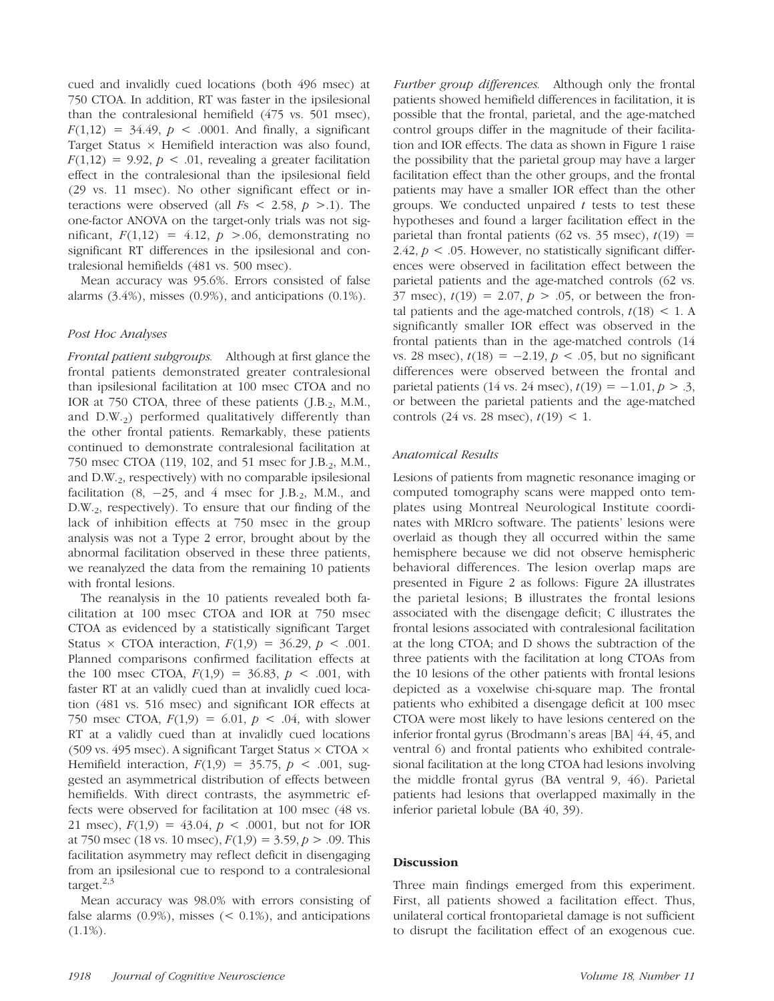cued and invalidly cued locations (both 496 msec) at 750 CTOA. In addition, RT was faster in the ipsilesional than the contralesional hemifield (475 vs. 501 msec),  $F(1,12) = 34.49, p < .0001$ . And finally, a significant Target Status  $\times$  Hemifield interaction was also found,  $F(1,12) = 9.92, p < .01$ , revealing a greater facilitation effect in the contralesional than the ipsilesional field (29 vs. 11 msec). No other significant effect or interactions were observed (all  $Fs < 2.58$ ,  $p > 1$ ). The one-factor ANOVA on the target-only trials was not significant,  $F(1,12) = 4.12$ ,  $p > 0.06$ , demonstrating no significant RT differences in the ipsilesional and contralesional hemifields (481 vs. 500 msec).

Mean accuracy was 95.6%. Errors consisted of false alarms  $(3.4\%)$ , misses  $(0.9\%)$ , and anticipations  $(0.1\%)$ .

# Post Hoc Analyses

Frontal patient subgroups. Although at first glance the frontal patients demonstrated greater contralesional than ipsilesional facilitation at 100 msec CTOA and no IOR at 750 CTOA, three of these patients (J.B.2, M.M., and  $D.W._2$ ) performed qualitatively differently than the other frontal patients. Remarkably, these patients continued to demonstrate contralesional facilitation at 750 msec CTOA (119, 102, and 51 msec for J.B.2, M.M., and D.W.2, respectively) with no comparable ipsilesional facilitation  $(8, -25, \text{ and } 4 \text{ msec for J.B.}_2, \text{ M.M., and})$ D.W.2, respectively). To ensure that our finding of the lack of inhibition effects at 750 msec in the group analysis was not a Type 2 error, brought about by the abnormal facilitation observed in these three patients, we reanalyzed the data from the remaining 10 patients with frontal lesions.

The reanalysis in the 10 patients revealed both facilitation at 100 msec CTOA and IOR at 750 msec CTOA as evidenced by a statistically significant Target Status  $\times$  CTOA interaction,  $F(1,9) = 36.29$ ,  $p < .001$ . Planned comparisons confirmed facilitation effects at the 100 msec CTOA,  $F(1,9) = 36.83$ ,  $p < .001$ , with faster RT at an validly cued than at invalidly cued location (481 vs. 516 msec) and significant IOR effects at 750 msec CTOA,  $F(1,9) = 6.01$ ,  $p < 0.04$ , with slower RT at a validly cued than at invalidly cued locations (509 vs. 495 msec). A significant Target Status  $\times$  CTOA  $\times$ Hemifield interaction,  $F(1,9) = 35.75$ ,  $p < .001$ , suggested an asymmetrical distribution of effects between hemifields. With direct contrasts, the asymmetric effects were observed for facilitation at 100 msec (48 vs. 21 msec),  $F(1,9) = 43.04$ ,  $p < .0001$ , but not for IOR at 750 msec (18 vs. 10 msec),  $F(1,9) = 3.59, p > .09$ . This facilitation asymmetry may reflect deficit in disengaging from an ipsilesional cue to respond to a contralesional target. $^{2,3}$ 

Mean accuracy was 98.0% with errors consisting of false alarms  $(0.9\%)$ , misses  $( $0.1\%)$ , and anticipations$  $(1.1\%).$ 

Further group differences. Although only the frontal patients showed hemifield differences in facilitation, it is possible that the frontal, parietal, and the age-matched control groups differ in the magnitude of their facilitation and IOR effects. The data as shown in Figure 1 raise the possibility that the parietal group may have a larger facilitation effect than the other groups, and the frontal patients may have a smaller IOR effect than the other groups. We conducted unpaired  $t$  tests to test these hypotheses and found a larger facilitation effect in the parietal than frontal patients (62 vs. 35 msec),  $t(19)$  = 2.42,  $p < 0.05$ . However, no statistically significant differences were observed in facilitation effect between the parietal patients and the age-matched controls (62 vs. 37 msec),  $t(19) = 2.07, p > .05$ , or between the frontal patients and the age-matched controls,  $t(18) < 1$ . A significantly smaller IOR effect was observed in the frontal patients than in the age-matched controls (14 vs. 28 msec),  $t(18) = -2.19, p < .05$ , but no significant differences were observed between the frontal and parietal patients (14 vs. 24 msec),  $t(19) = -1.01, p > .3$ , or between the parietal patients and the age-matched controls (24 vs. 28 msec),  $t(19) < 1$ .

#### Anatomical Results

Lesions of patients from magnetic resonance imaging or computed tomography scans were mapped onto templates using Montreal Neurological Institute coordinates with MRIcro software. The patients' lesions were overlaid as though they all occurred within the same hemisphere because we did not observe hemispheric behavioral differences. The lesion overlap maps are presented in Figure 2 as follows: Figure 2A illustrates the parietal lesions; B illustrates the frontal lesions associated with the disengage deficit; C illustrates the frontal lesions associated with contralesional facilitation at the long CTOA; and D shows the subtraction of the three patients with the facilitation at long CTOAs from the 10 lesions of the other patients with frontal lesions depicted as a voxelwise chi-square map. The frontal patients who exhibited a disengage deficit at 100 msec CTOA were most likely to have lesions centered on the inferior frontal gyrus (Brodmann's areas [BA] 44, 45, and ventral 6) and frontal patients who exhibited contralesional facilitation at the long CTOA had lesions involving the middle frontal gyrus (BA ventral 9, 46). Parietal patients had lesions that overlapped maximally in the inferior parietal lobule (BA 40, 39).

# **Discussion**

Three main findings emerged from this experiment. First, all patients showed a facilitation effect. Thus, unilateral cortical frontoparietal damage is not sufficient to disrupt the facilitation effect of an exogenous cue.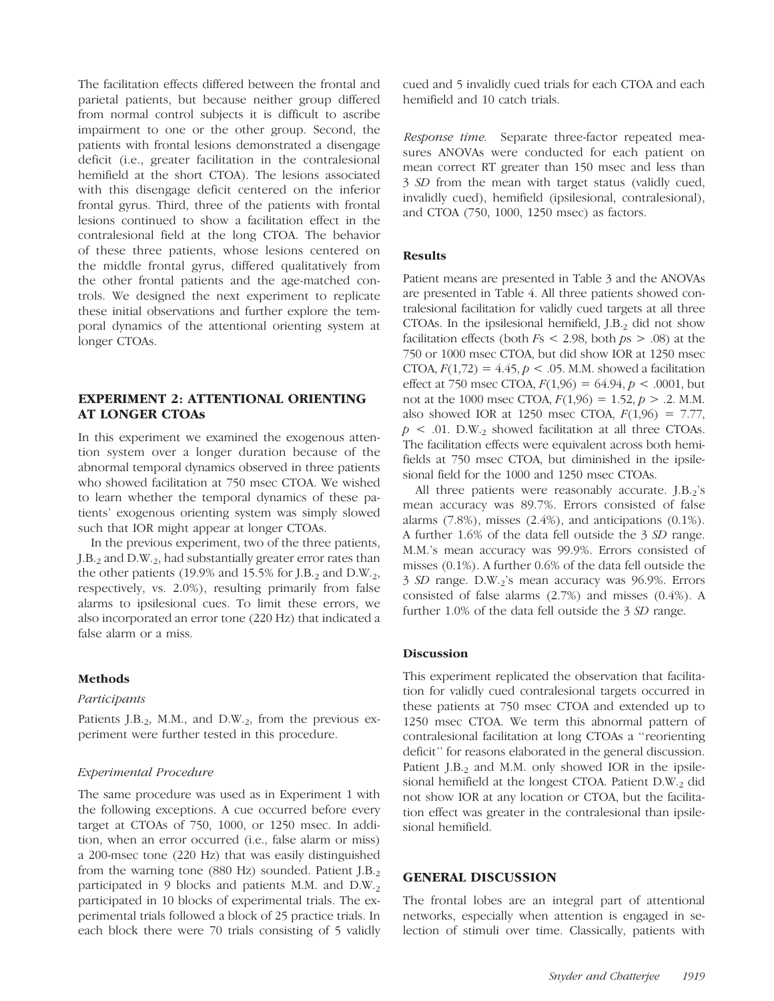The facilitation effects differed between the frontal and parietal patients, but because neither group differed from normal control subjects it is difficult to ascribe impairment to one or the other group. Second, the patients with frontal lesions demonstrated a disengage deficit (i.e., greater facilitation in the contralesional hemifield at the short CTOA). The lesions associated with this disengage deficit centered on the inferior frontal gyrus. Third, three of the patients with frontal lesions continued to show a facilitation effect in the contralesional field at the long CTOA. The behavior of these three patients, whose lesions centered on the middle frontal gyrus, differed qualitatively from the other frontal patients and the age-matched controls. We designed the next experiment to replicate these initial observations and further explore the temporal dynamics of the attentional orienting system at longer CTOAs.

## EXPERIMENT 2: ATTENTIONAL ORIENTING AT LONGER CTOAs

In this experiment we examined the exogenous attention system over a longer duration because of the abnormal temporal dynamics observed in three patients who showed facilitation at 750 msec CTOA. We wished to learn whether the temporal dynamics of these patients' exogenous orienting system was simply slowed such that IOR might appear at longer CTOAs.

In the previous experiment, two of the three patients, J.B.2 and D.W.2, had substantially greater error rates than the other patients (19.9% and 15.5% for J.B.<sub>2</sub> and D.W.<sub>2</sub>, respectively, vs. 2.0%), resulting primarily from false alarms to ipsilesional cues. To limit these errors, we also incorporated an error tone (220 Hz) that indicated a false alarm or a miss.

#### Methods

#### Participants

Patients J.B.2, M.M., and D.W.2, from the previous experiment were further tested in this procedure.

#### Experimental Procedure

The same procedure was used as in Experiment 1 with the following exceptions. A cue occurred before every target at CTOAs of 750, 1000, or 1250 msec. In addition, when an error occurred (i.e., false alarm or miss) a 200-msec tone (220 Hz) that was easily distinguished from the warning tone (880 Hz) sounded. Patient J.B.2 participated in 9 blocks and patients M.M. and D.W.2 participated in 10 blocks of experimental trials. The experimental trials followed a block of 25 practice trials. In each block there were 70 trials consisting of 5 validly

cued and 5 invalidly cued trials for each CTOA and each hemifield and 10 catch trials.

Response time. Separate three-factor repeated measures ANOVAs were conducted for each patient on mean correct RT greater than 150 msec and less than 3 SD from the mean with target status (validly cued, invalidly cued), hemifield (ipsilesional, contralesional), and CTOA (750, 1000, 1250 msec) as factors.

#### Results

Patient means are presented in Table 3 and the ANOVAs are presented in Table 4. All three patients showed contralesional facilitation for validly cued targets at all three CTOAs. In the ipsilesional hemifield,  $J.B.2$  did not show facilitation effects (both  $Fs < 2.98$ , both  $ps > .08$ ) at the 750 or 1000 msec CTOA, but did show IOR at 1250 msec CTOA,  $F(1,72) = 4.45$ ,  $p < .05$ . M.M. showed a facilitation effect at 750 msec CTOA,  $F(1,96) = 64.94$ ,  $p < .0001$ , but not at the 1000 msec CTOA,  $F(1,96) = 1.52$ ,  $p > .2$ . M.M. also showed IOR at 1250 msec CTOA,  $F(1,96) = 7.77$ ,  $p < .01$ . D.W.<sub>2</sub> showed facilitation at all three CTOAs. The facilitation effects were equivalent across both hemifields at 750 msec CTOA, but diminished in the ipsilesional field for the 1000 and 1250 msec CTOAs.

All three patients were reasonably accurate.  $J.B.2's$ mean accuracy was 89.7%. Errors consisted of false alarms (7.8%), misses (2.4%), and anticipations (0.1%). A further 1.6% of the data fell outside the 3 SD range. M.M.'s mean accuracy was 99.9%. Errors consisted of misses (0.1%). A further 0.6% of the data fell outside the 3 SD range. D.W.2's mean accuracy was 96.9%. Errors consisted of false alarms (2.7%) and misses (0.4%). A further 1.0% of the data fell outside the 3 SD range.

#### Discussion

This experiment replicated the observation that facilitation for validly cued contralesional targets occurred in these patients at 750 msec CTOA and extended up to 1250 msec CTOA. We term this abnormal pattern of contralesional facilitation at long CTOAs a ''reorienting deficit'' for reasons elaborated in the general discussion. Patient  $J.B._2$  and M.M. only showed IOR in the ipsilesional hemifield at the longest CTOA. Patient  $D.W_{2}$  did not show IOR at any location or CTOA, but the facilitation effect was greater in the contralesional than ipsilesional hemifield.

#### GENERAL DISCUSSION

The frontal lobes are an integral part of attentional networks, especially when attention is engaged in selection of stimuli over time. Classically, patients with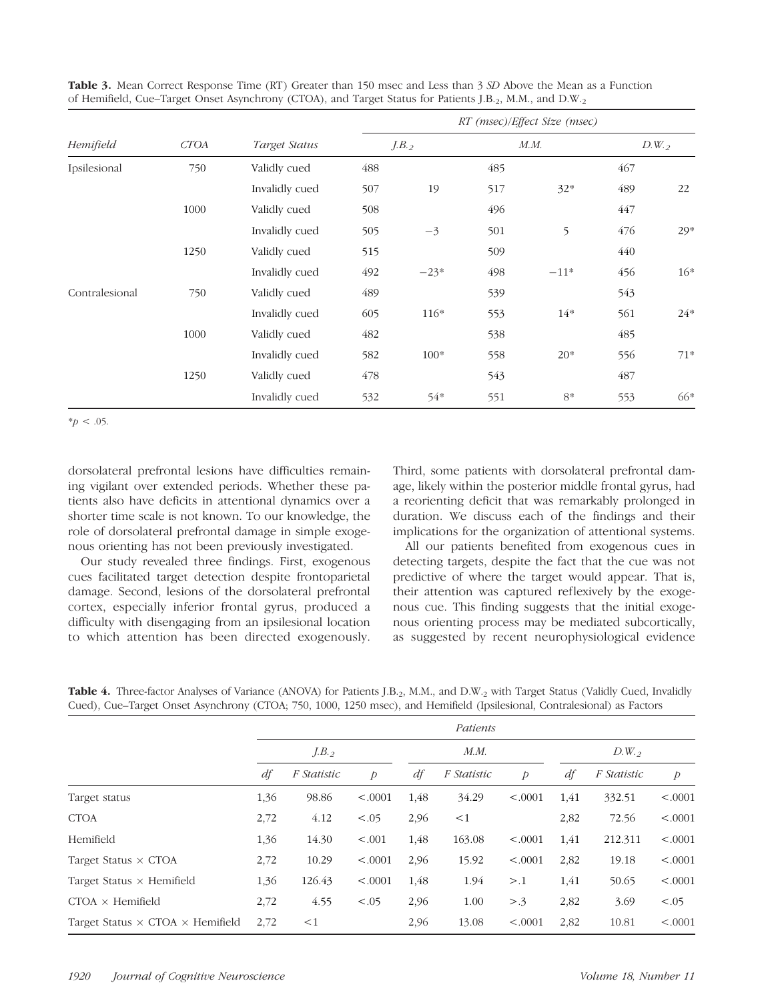|                           |             |                |      | RT (msec)/Effect Size (msec) |      |        |            |       |  |  |  |
|---------------------------|-------------|----------------|------|------------------------------|------|--------|------------|-------|--|--|--|
| Hemifield<br>Ipsilesional | <b>CTOA</b> | Target Status  | J.B. |                              | M.M. |        | $D.W._{2}$ |       |  |  |  |
|                           | 750         | Validly cued   | 488  |                              | 485  |        | 467        |       |  |  |  |
|                           |             | Invalidly cued | 507  | 19                           | 517  | $32*$  | 489        | 22    |  |  |  |
|                           | 1000        | Validly cued   | 508  |                              | 496  |        | 447        |       |  |  |  |
|                           |             | Invalidly cued | 505  | $-3$                         | 501  | 5      | 476        | $29*$ |  |  |  |
|                           | 1250        | Validly cued   | 515  |                              | 509  |        | 440        |       |  |  |  |
|                           |             | Invalidly cued | 492  | $-23*$                       | 498  | $-11*$ | 456        | $16*$ |  |  |  |
| Contralesional            | 750         | Validly cued   | 489  |                              | 539  |        | 543        |       |  |  |  |
|                           |             | Invalidly cued | 605  | $116*$                       | 553  | $14*$  | 561        | $24*$ |  |  |  |
|                           | 1000        | Validly cued   | 482  |                              | 538  |        | 485        |       |  |  |  |
|                           |             | Invalidly cued | 582  | $100*$                       | 558  | $20*$  | 556        | $71*$ |  |  |  |
|                           | 1250        | Validly cued   | 478  |                              | 543  |        | 487        |       |  |  |  |
|                           |             | Invalidly cued | 532  | $54*$                        | 551  | $8*$   | 553        | 66*   |  |  |  |

Table 3. Mean Correct Response Time (RT) Greater than 150 msec and Less than 3 SD Above the Mean as a Function of Hemifield, Cue–Target Onset Asynchrony (CTOA), and Target Status for Patients J.B.2, M.M., and D.W.2

 $* p < .05$ .

dorsolateral prefrontal lesions have difficulties remaining vigilant over extended periods. Whether these patients also have deficits in attentional dynamics over a shorter time scale is not known. To our knowledge, the role of dorsolateral prefrontal damage in simple exogenous orienting has not been previously investigated.

Our study revealed three findings. First, exogenous cues facilitated target detection despite frontoparietal damage. Second, lesions of the dorsolateral prefrontal cortex, especially inferior frontal gyrus, produced a difficulty with disengaging from an ipsilesional location to which attention has been directed exogenously.

Third, some patients with dorsolateral prefrontal damage, likely within the posterior middle frontal gyrus, had a reorienting deficit that was remarkably prolonged in duration. We discuss each of the findings and their implications for the organization of attentional systems.

All our patients benefited from exogenous cues in detecting targets, despite the fact that the cue was not predictive of where the target would appear. That is, their attention was captured reflexively by the exogenous cue. This finding suggests that the initial exogenous orienting process may be mediated subcortically, as suggested by recent neurophysiological evidence

Table 4. Three-factor Analyses of Variance (ANOVA) for Patients J.B.<sub>2</sub>, M.M., and D.W.<sub>2</sub> with Target Status (Validly Cued, Invalidly Cued), Cue–Target Onset Asynchrony (CTOA; 750, 1000, 1250 msec), and Hemifield (Ipsilesional, Contralesional) as Factors

|                                                | Patients |             |         |      |             |                |            |             |                |  |
|------------------------------------------------|----------|-------------|---------|------|-------------|----------------|------------|-------------|----------------|--|
|                                                | $J.B._2$ |             |         | M.M. |             |                | $D.W._{2}$ |             |                |  |
|                                                | df       | F Statistic | Þ       | df   | F Statistic | $\overline{p}$ | df         | F Statistic | $\overline{P}$ |  |
| Target status                                  | 1,36     | 98.86       | < .0001 | 1,48 | 34.29       | < .0001        | 1,41       | 332.51      | < .0001        |  |
| <b>CTOA</b>                                    | 2,72     | 4.12        | < .05   | 2,96 | <1          |                | 2,82       | 72.56       | < .0001        |  |
| Hemifield                                      | 1,36     | 14.30       | < .001  | 1,48 | 163.08      | < .0001        | 1,41       | 212.311     | < .0001        |  |
| Target Status $\times$ CTOA                    | 2,72     | 10.29       | < .0001 | 2,96 | 15.92       | < .0001        | 2,82       | 19.18       | < .0001        |  |
| Target Status $\times$ Hemifield               | 1,36     | 126.43      | < .0001 | 1,48 | 1.94        | >1             | 1,41       | 50.65       | < .0001        |  |
| $CTOA \times$ Hemifield                        | 2,72     | 4.55        | < .05   | 2,96 | 1.00        | $>$ 3          | 2,82       | 3.69        | < .05          |  |
| Target Status $\times$ CTOA $\times$ Hemifield | 2,72     | $\leq$ 1    |         | 2,96 | 13.08       | < .0001        | 2,82       | 10.81       | < 0.0001       |  |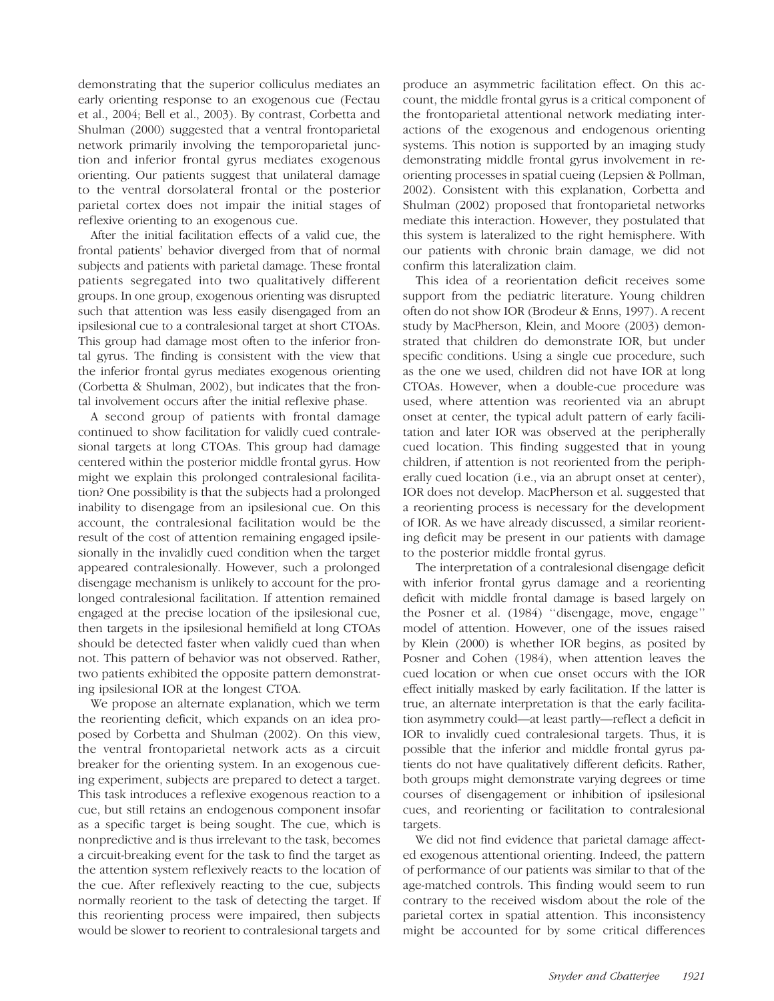demonstrating that the superior colliculus mediates an early orienting response to an exogenous cue (Fectau et al., 2004; Bell et al., 2003). By contrast, Corbetta and Shulman (2000) suggested that a ventral frontoparietal network primarily involving the temporoparietal junction and inferior frontal gyrus mediates exogenous orienting. Our patients suggest that unilateral damage to the ventral dorsolateral frontal or the posterior parietal cortex does not impair the initial stages of reflexive orienting to an exogenous cue.

After the initial facilitation effects of a valid cue, the frontal patients' behavior diverged from that of normal subjects and patients with parietal damage. These frontal patients segregated into two qualitatively different groups. In one group, exogenous orienting was disrupted such that attention was less easily disengaged from an ipsilesional cue to a contralesional target at short CTOAs. This group had damage most often to the inferior frontal gyrus. The finding is consistent with the view that the inferior frontal gyrus mediates exogenous orienting (Corbetta & Shulman, 2002), but indicates that the frontal involvement occurs after the initial reflexive phase.

A second group of patients with frontal damage continued to show facilitation for validly cued contralesional targets at long CTOAs. This group had damage centered within the posterior middle frontal gyrus. How might we explain this prolonged contralesional facilitation? One possibility is that the subjects had a prolonged inability to disengage from an ipsilesional cue. On this account, the contralesional facilitation would be the result of the cost of attention remaining engaged ipsilesionally in the invalidly cued condition when the target appeared contralesionally. However, such a prolonged disengage mechanism is unlikely to account for the prolonged contralesional facilitation. If attention remained engaged at the precise location of the ipsilesional cue, then targets in the ipsilesional hemifield at long CTOAs should be detected faster when validly cued than when not. This pattern of behavior was not observed. Rather, two patients exhibited the opposite pattern demonstrating ipsilesional IOR at the longest CTOA.

We propose an alternate explanation, which we term the reorienting deficit, which expands on an idea proposed by Corbetta and Shulman (2002). On this view, the ventral frontoparietal network acts as a circuit breaker for the orienting system. In an exogenous cueing experiment, subjects are prepared to detect a target. This task introduces a reflexive exogenous reaction to a cue, but still retains an endogenous component insofar as a specific target is being sought. The cue, which is nonpredictive and is thus irrelevant to the task, becomes a circuit-breaking event for the task to find the target as the attention system reflexively reacts to the location of the cue. After reflexively reacting to the cue, subjects normally reorient to the task of detecting the target. If this reorienting process were impaired, then subjects would be slower to reorient to contralesional targets and produce an asymmetric facilitation effect. On this account, the middle frontal gyrus is a critical component of the frontoparietal attentional network mediating interactions of the exogenous and endogenous orienting systems. This notion is supported by an imaging study demonstrating middle frontal gyrus involvement in reorienting processes in spatial cueing (Lepsien & Pollman, 2002). Consistent with this explanation, Corbetta and Shulman (2002) proposed that frontoparietal networks mediate this interaction. However, they postulated that this system is lateralized to the right hemisphere. With our patients with chronic brain damage, we did not confirm this lateralization claim.

This idea of a reorientation deficit receives some support from the pediatric literature. Young children often do not show IOR (Brodeur & Enns, 1997). A recent study by MacPherson, Klein, and Moore (2003) demonstrated that children do demonstrate IOR, but under specific conditions. Using a single cue procedure, such as the one we used, children did not have IOR at long CTOAs. However, when a double-cue procedure was used, where attention was reoriented via an abrupt onset at center, the typical adult pattern of early facilitation and later IOR was observed at the peripherally cued location. This finding suggested that in young children, if attention is not reoriented from the peripherally cued location (i.e., via an abrupt onset at center), IOR does not develop. MacPherson et al. suggested that a reorienting process is necessary for the development of IOR. As we have already discussed, a similar reorienting deficit may be present in our patients with damage to the posterior middle frontal gyrus.

The interpretation of a contralesional disengage deficit with inferior frontal gyrus damage and a reorienting deficit with middle frontal damage is based largely on the Posner et al. (1984) ''disengage, move, engage'' model of attention. However, one of the issues raised by Klein (2000) is whether IOR begins, as posited by Posner and Cohen (1984), when attention leaves the cued location or when cue onset occurs with the IOR effect initially masked by early facilitation. If the latter is true, an alternate interpretation is that the early facilitation asymmetry could—at least partly—reflect a deficit in IOR to invalidly cued contralesional targets. Thus, it is possible that the inferior and middle frontal gyrus patients do not have qualitatively different deficits. Rather, both groups might demonstrate varying degrees or time courses of disengagement or inhibition of ipsilesional cues, and reorienting or facilitation to contralesional targets.

We did not find evidence that parietal damage affected exogenous attentional orienting. Indeed, the pattern of performance of our patients was similar to that of the age-matched controls. This finding would seem to run contrary to the received wisdom about the role of the parietal cortex in spatial attention. This inconsistency might be accounted for by some critical differences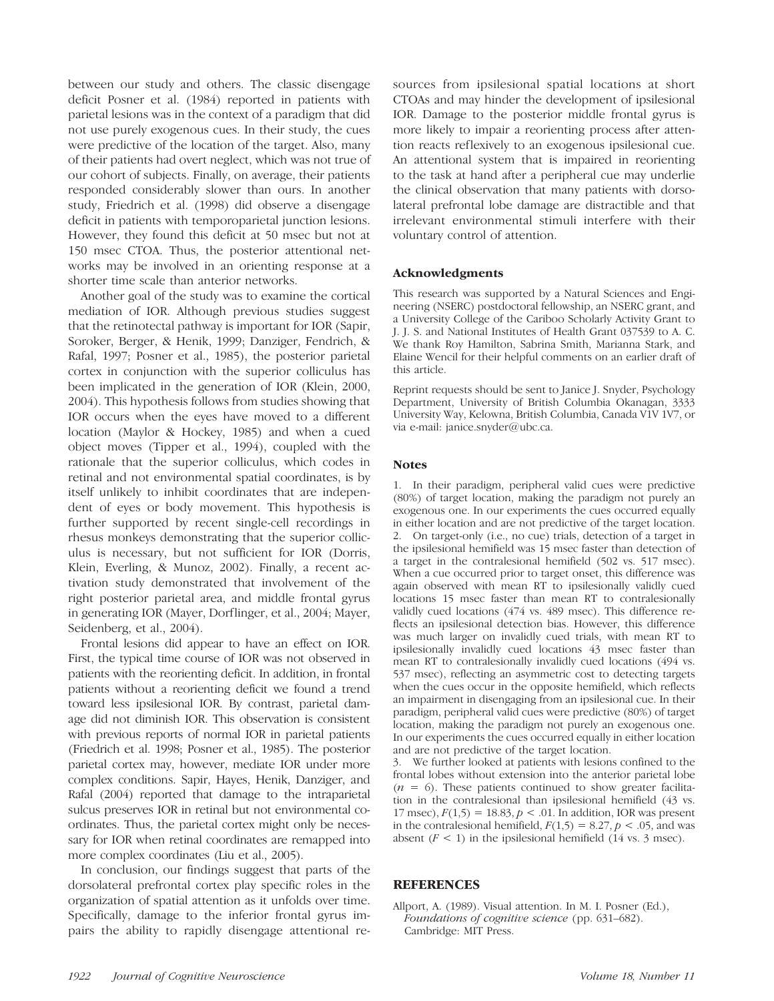between our study and others. The classic disengage deficit Posner et al. (1984) reported in patients with parietal lesions was in the context of a paradigm that did not use purely exogenous cues. In their study, the cues were predictive of the location of the target. Also, many of their patients had overt neglect, which was not true of our cohort of subjects. Finally, on average, their patients responded considerably slower than ours. In another study, Friedrich et al. (1998) did observe a disengage deficit in patients with temporoparietal junction lesions. However, they found this deficit at 50 msec but not at 150 msec CTOA. Thus, the posterior attentional networks may be involved in an orienting response at a shorter time scale than anterior networks.

Another goal of the study was to examine the cortical mediation of IOR. Although previous studies suggest that the retinotectal pathway is important for IOR (Sapir, Soroker, Berger, & Henik, 1999; Danziger, Fendrich, & Rafal, 1997; Posner et al., 1985), the posterior parietal cortex in conjunction with the superior colliculus has been implicated in the generation of IOR (Klein, 2000, 2004). This hypothesis follows from studies showing that IOR occurs when the eyes have moved to a different location (Maylor & Hockey, 1985) and when a cued object moves (Tipper et al., 1994), coupled with the rationale that the superior colliculus, which codes in retinal and not environmental spatial coordinates, is by itself unlikely to inhibit coordinates that are independent of eyes or body movement. This hypothesis is further supported by recent single-cell recordings in rhesus monkeys demonstrating that the superior colliculus is necessary, but not sufficient for IOR (Dorris, Klein, Everling, & Munoz, 2002). Finally, a recent activation study demonstrated that involvement of the right posterior parietal area, and middle frontal gyrus in generating IOR (Mayer, Dorflinger, et al., 2004; Mayer, Seidenberg, et al., 2004).

Frontal lesions did appear to have an effect on IOR. First, the typical time course of IOR was not observed in patients with the reorienting deficit. In addition, in frontal patients without a reorienting deficit we found a trend toward less ipsilesional IOR. By contrast, parietal damage did not diminish IOR. This observation is consistent with previous reports of normal IOR in parietal patients (Friedrich et al. 1998; Posner et al., 1985). The posterior parietal cortex may, however, mediate IOR under more complex conditions. Sapir, Hayes, Henik, Danziger, and Rafal (2004) reported that damage to the intraparietal sulcus preserves IOR in retinal but not environmental coordinates. Thus, the parietal cortex might only be necessary for IOR when retinal coordinates are remapped into more complex coordinates (Liu et al., 2005).

In conclusion, our findings suggest that parts of the dorsolateral prefrontal cortex play specific roles in the organization of spatial attention as it unfolds over time. Specifically, damage to the inferior frontal gyrus impairs the ability to rapidly disengage attentional resources from ipsilesional spatial locations at short CTOAs and may hinder the development of ipsilesional IOR. Damage to the posterior middle frontal gyrus is more likely to impair a reorienting process after attention reacts reflexively to an exogenous ipsilesional cue. An attentional system that is impaired in reorienting to the task at hand after a peripheral cue may underlie the clinical observation that many patients with dorsolateral prefrontal lobe damage are distractible and that irrelevant environmental stimuli interfere with their voluntary control of attention.

#### Acknowledgments

This research was supported by a Natural Sciences and Engineering (NSERC) postdoctoral fellowship, an NSERC grant, and a University College of the Cariboo Scholarly Activity Grant to J. J. S. and National Institutes of Health Grant 037539 to A. C. We thank Roy Hamilton, Sabrina Smith, Marianna Stark, and Elaine Wencil for their helpful comments on an earlier draft of this article.

Reprint requests should be sent to Janice J. Snyder, Psychology Department, University of British Columbia Okanagan, 3333 University Way, Kelowna, British Columbia, Canada V1V 1V7, or via e-mail: janice.snyder@ubc.ca.

#### **Notes**

1. In their paradigm, peripheral valid cues were predictive (80%) of target location, making the paradigm not purely an exogenous one. In our experiments the cues occurred equally in either location and are not predictive of the target location. 2. On target-only (i.e., no cue) trials, detection of a target in the ipsilesional hemifield was 15 msec faster than detection of a target in the contralesional hemifield (502 vs. 517 msec). When a cue occurred prior to target onset, this difference was again observed with mean RT to ipsilesionally validly cued locations 15 msec faster than mean RT to contralesionally validly cued locations (474 vs. 489 msec). This difference reflects an ipsilesional detection bias. However, this difference was much larger on invalidly cued trials, with mean RT to ipsilesionally invalidly cued locations 43 msec faster than mean RT to contralesionally invalidly cued locations (494 vs. 537 msec), reflecting an asymmetric cost to detecting targets when the cues occur in the opposite hemifield, which reflects an impairment in disengaging from an ipsilesional cue. In their paradigm, peripheral valid cues were predictive (80%) of target location, making the paradigm not purely an exogenous one. In our experiments the cues occurred equally in either location and are not predictive of the target location.

3. We further looked at patients with lesions confined to the frontal lobes without extension into the anterior parietal lobe  $(n = 6)$ . These patients continued to show greater facilitation in the contralesional than ipsilesional hemifield (43 vs. 17 msec),  $F(1,5) = 18.83$ ,  $p < .01$ . In addition, IOR was present in the contralesional hemifield,  $F(1,5) = 8.27, p < .05$ , and was absent  $(F < 1)$  in the ipsilesional hemifield  $(14 \text{ vs. } 3 \text{ msec})$ .

#### **REFERENCES**

Allport, A. (1989). Visual attention. In M. I. Posner (Ed.), Foundations of cognitive science (pp. 631–682). Cambridge: MIT Press.